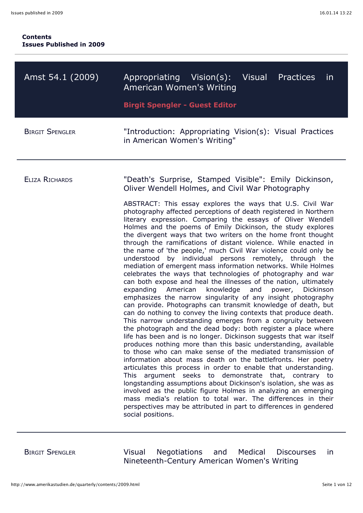| Amst 54.1 (2009)       | Appropriating Vision(s):<br><b>Visual</b><br><b>Practices</b><br>in.<br>American Women's Writing<br><b>Birgit Spengler - Guest Editor</b>                                                                                                                                                                                                                                                                                                                                                                                                                                                                                                                                                                                                                                                                                                                                                                                                                                                                                                                                                                                                                                                                                                                                                                                                                                                                                                                                                                                                                                                                                                                                                                                                                                                                                                                                                                                                                   |
|------------------------|-------------------------------------------------------------------------------------------------------------------------------------------------------------------------------------------------------------------------------------------------------------------------------------------------------------------------------------------------------------------------------------------------------------------------------------------------------------------------------------------------------------------------------------------------------------------------------------------------------------------------------------------------------------------------------------------------------------------------------------------------------------------------------------------------------------------------------------------------------------------------------------------------------------------------------------------------------------------------------------------------------------------------------------------------------------------------------------------------------------------------------------------------------------------------------------------------------------------------------------------------------------------------------------------------------------------------------------------------------------------------------------------------------------------------------------------------------------------------------------------------------------------------------------------------------------------------------------------------------------------------------------------------------------------------------------------------------------------------------------------------------------------------------------------------------------------------------------------------------------------------------------------------------------------------------------------------------------|
| <b>BIRGIT SPENGLER</b> | "Introduction: Appropriating Vision(s): Visual Practices<br>in American Women's Writing"                                                                                                                                                                                                                                                                                                                                                                                                                                                                                                                                                                                                                                                                                                                                                                                                                                                                                                                                                                                                                                                                                                                                                                                                                                                                                                                                                                                                                                                                                                                                                                                                                                                                                                                                                                                                                                                                    |
| <b>ELIZA RICHARDS</b>  | "Death's Surprise, Stamped Visible": Emily Dickinson,<br>Oliver Wendell Holmes, and Civil War Photography<br>ABSTRACT: This essay explores the ways that U.S. Civil War<br>photography affected perceptions of death registered in Northern<br>literary expression. Comparing the essays of Oliver Wendell<br>Holmes and the poems of Emily Dickinson, the study explores<br>the divergent ways that two writers on the home front thought<br>through the ramifications of distant violence. While enacted in<br>the name of 'the people,' much Civil War violence could only be<br>by individual persons remotely, through the<br>understood<br>mediation of emergent mass information networks. While Holmes<br>celebrates the ways that technologies of photography and war<br>can both expose and heal the illnesses of the nation, ultimately<br>American<br>knowledge<br>expanding<br>and<br>power,<br>Dickinson<br>emphasizes the narrow singularity of any insight photography<br>can provide. Photographs can transmit knowledge of death, but<br>can do nothing to convey the living contexts that produce death.<br>This narrow understanding emerges from a congruity between<br>the photograph and the dead body: both register a place where<br>life has been and is no longer. Dickinson suggests that war itself<br>produces nothing more than this basic understanding, available<br>to those who can make sense of the mediated transmission of<br>information about mass death on the battlefronts. Her poetry<br>articulates this process in order to enable that understanding.<br>This argument seeks to demonstrate that, contrary to<br>longstanding assumptions about Dickinson's isolation, she was as<br>involved as the public figure Holmes in analyzing an emerging<br>mass media's relation to total war. The differences in their<br>perspectives may be attributed in part to differences in gendered<br>social positions. |

BIRGIT SPENGLER Visual Negotiations and Medical Discourses in Nineteenth-Century American Women's Writing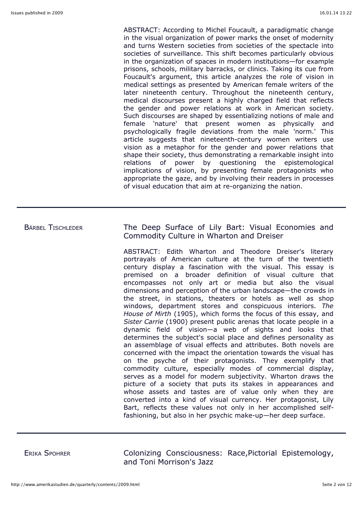ABSTRACT: According to Michel Foucault, a paradigmatic change in the visual organization of power marks the onset of modernity and turns Western societies from societies of the spectacle into societies of surveillance. This shift becomes particularly obvious in the organization of spaces in modern institutions—for example prisons, schools, military barracks, or clinics. Taking its cue from Foucault's argument, this article analyzes the role of vision in medical settings as presented by American female writers of the later nineteenth century. Throughout the nineteenth century, medical discourses present a highly charged field that reflects the gender and power relations at work in American society. Such discourses are shaped by essentializing notions of male and female 'nature' that present women as physically and psychologically fragile deviations from the male 'norm.' This article suggests that nineteenth-century women writers use vision as a metaphor for the gender and power relations that shape their society, thus demonstrating a remarkable insight into relations of power by questioning the epistemological implications of vision, by presenting female protagonists who appropriate the gaze, and by involving their readers in processes of visual education that aim at re-organizing the nation.

## BÄRBEL TISCHLEDER THE Deep Surface of Lily Bart: Visual Economies and Commodity Culture in Wharton and Dreiser

ABSTRACT: Edith Wharton and Theodore Dreiser's literary portrayals of American culture at the turn of the twentieth century display a fascination with the visual. This essay is premised on a broader definition of visual culture that encompasses not only art or media but also the visual dimensions and perception of the urban landscape—the crowds in the street, in stations, theaters or hotels as well as shop windows, department stores and conspicuous interiors. *The House of Mirth* (1905), which forms the focus of this essay, and *Sister Carrie* (1900) present public arenas that locate people in a dynamic field of vision—a web of sights and looks that determines the subject's social place and defines personality as an assemblage of visual effects and attributes. Both novels are concerned with the impact the orientation towards the visual has on the psyche of their protagonists. They exemplify that commodity culture, especially modes of commercial display, serves as a model for modern subjectivity. Wharton draws the picture of a society that puts its stakes in appearances and whose assets and tastes are of value only when they are converted into a kind of visual currency. Her protagonist, Lily Bart, reflects these values not only in her accomplished selffashioning, but also in her psychic make-up—her deep surface.

ERIKA SPOHRER Colonizing Consciousness: Race, Pictorial Epistemology, and Toni Morrison's Jazz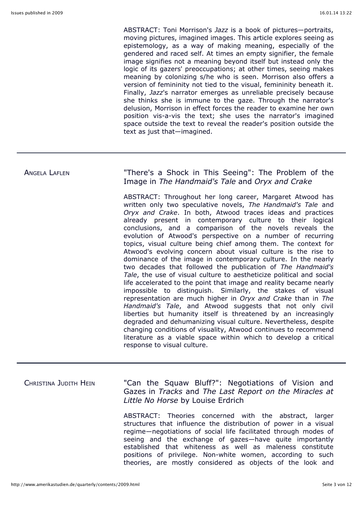ABSTRACT: Toni Morrison's *Jazz* is a book of pictures—portraits, moving pictures, imagined images. This article explores seeing as epistemology, as a way of making meaning, especially of the gendered and raced self. At times an empty signifier, the female image signifies not a meaning beyond itself but instead only the logic of its gazers' preoccupations; at other times, seeing makes meaning by colonizing s/he who is seen. Morrison also offers a version of femininity not tied to the visual, femininity beneath it. Finally, *Jazz*'s narrator emerges as unreliable precisely because she thinks she is immune to the gaze. Through the narrator's delusion, Morrison in effect forces the reader to examine her own position vis-a-vis the text; she uses the narrator's imagined space outside the text to reveal the reader's position outside the text as just that—imagined.

## ANGELA LAFLEN "There's a Shock in This Seeing": The Problem of the Image in *The Handmaid's Tale* and *Oryx and Crake*

ABSTRACT: Throughout her long career, Margaret Atwood has written only two speculative novels, *The Handmaid's Tale* and *Oryx and Crake*. In both, Atwood traces ideas and practices already present in contemporary culture to their logical conclusions, and a comparison of the novels reveals the evolution of Atwood's perspective on a number of recurring topics, visual culture being chief among them. The context for Atwood's evolving concern about visual culture is the rise to dominance of the image in contemporary culture. In the nearly two decades that followed the publication of *The Handmaid's Tale*, the use of visual culture to aestheticize political and social life accelerated to the point that image and reality became nearly impossible to distinguish. Similarly, the stakes of visual representation are much higher in *Oryx and Crake* than in *The Handmaid's Tale*, and Atwood suggests that not only civil liberties but humanity itself is threatened by an increasingly degraded and dehumanizing visual culture. Nevertheless, despite changing conditions of visuality, Atwood continues to recommend literature as a viable space within which to develop a critical response to visual culture.

CHRISTINA JUDITH HEIN "Can the Squaw Bluff?": Negotiations of Vision and Gazes in *Tracks* and *The Last Report on the Miracles at Little No Horse* by Louise Erdrich

> ABSTRACT: Theories concerned with the abstract, larger structures that influence the distribution of power in a visual regime—negotiations of social life facilitated through modes of seeing and the exchange of gazes—have quite importantly established that whiteness as well as maleness constitute positions of privilege. Non-white women, according to such theories, are mostly considered as objects of the look and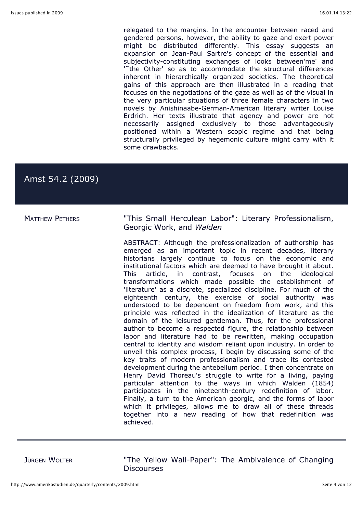relegated to the margins. In the encounter between raced and gendered persons, however, the ability to gaze and exert power might be distributed differently. This essay suggests an expansion on Jean-Paul Sartre's concept of the essential and subjectivity-constituting exchanges of looks between'me' and '˜the Other' so as to accommodate the structural differences inherent in hierarchically organized societies. The theoretical gains of this approach are then illustrated in a reading that focuses on the negotiations of the gaze as well as of the visual in the very particular situations of three female characters in two novels by Anishinaabe-German-American literary writer Louise Erdrich. Her texts illustrate that agency and power are not necessarily assigned exclusively to those advantageously positioned within a Western scopic regime and that being structurally privileged by hegemonic culture might carry with it some drawbacks.

## Amst 54.2 (2009)

MATTHEW PETHERS "This Small Herculean Labor": Literary Professionalism, Georgic Work, and *Walden*

> ABSTRACT: Although the professionalization of authorship has emerged as an important topic in recent decades, literary historians largely continue to focus on the economic and institutional factors which are deemed to have brought it about. This article, in contrast, focuses on the ideological transformations which made possible the establishment of 'literature' as a discrete, specialized discipline. For much of the eighteenth century, the exercise of social authority was understood to be dependent on freedom from work, and this principle was reflected in the idealization of literature as the domain of the leisured gentleman. Thus, for the professional author to become a respected figure, the relationship between labor and literature had to be rewritten, making occupation central to identity and wisdom reliant upon industry. In order to unveil this complex process, I begin by discussing some of the key traits of modern professionalism and trace its contested development during the antebellum period. I then concentrate on Henry David Thoreau's struggle to write for a living, paying particular attention to the ways in which Walden (1854) participates in the nineteenth-century redefinition of labor. Finally, a turn to the American georgic, and the forms of labor which it privileges, allows me to draw all of these threads together into a new reading of how that redefinition was achieved.

JÜRGEN WOLTER **The Yellow Wall-Paper": The Ambivalence of Changing Discourses**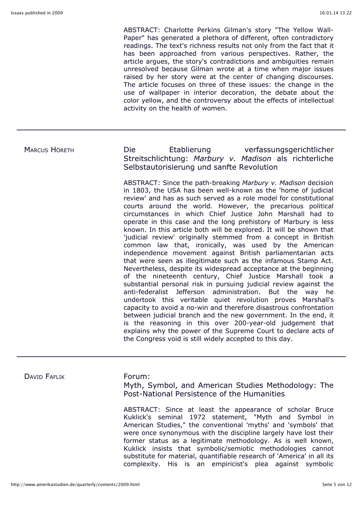ABSTRACT: Charlotte Perkins Gilman's story "The Yellow Wall-Paper" has generated a plethora of different, often contradictory readings. The text's richness results not only from the fact that it has been approached from various perspectives. Rather, the article argues, the story's contradictions and ambiguities remain unresolved because Gilman wrote at a time when major issues raised by her story were at the center of changing discourses. The article focuses on three of these issues: the change in the use of wallpaper in interior decoration, the debate about the color yellow, and the controversy about the effects of intellectual activity on the health of women.

## MARCUS HÖRETH Die Etablierung verfassungsgerichtlicher Streitschlichtung: *Marbury v. Madison* als richterliche Selbstautorisierung und sanfte Revolution

ABSTRACT: Since the path-breaking *Marbury v. Madison* decision in 1803, the USA has been well-known as the 'home of judicial review' and has as such served as a role model for constitutional courts around the world. However, the precarious political circumstances in which Chief Justice John Marshall had to operate in this case and the long prehistory of Marbury is less known. In this article both will be explored. It will be shown that 'judicial review' originally stemmed from a concept in British common law that, ironically, was used by the American independence movement against British parliamentarian acts that were seen as illegitimate such as the infamous Stamp Act. Nevertheless, despite its widespread acceptance at the beginning of the nineteenth century, Chief Justice Marshall took a substantial personal risk in pursuing judicial review against the anti-federalist Jefferson administration. But the way he undertook this veritable quiet revolution proves Marshall's capacity to avoid a no-win and therefore disastrous confrontation between judicial branch and the new government. In the end, it is the reasoning in this over 200-year-old judgement that explains why the power of the Supreme Court to declare acts of the Congress void is still widely accepted to this day.

DAVID FAFLIK FORUM:

Myth, Symbol, and American Studies Methodology: The Post-National Persistence of the Humanities

ABSTRACT: Since at least the appearance of scholar Bruce Kuklick's seminal 1972 statement, "Myth and Symbol in American Studies," the conventional 'myths' and 'symbols' that were once synonymous with the discipline largely have lost their former status as a legitimate methodology. As is well known, Kuklick insists that symbolic/semiotic methodologies cannot substitute for material, quantifiable research of 'America' in all its complexity. His is an empiricist's plea against symbolic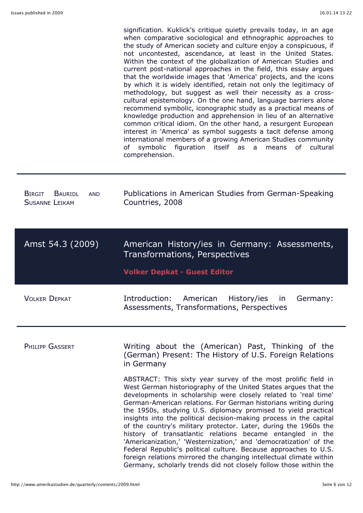| signification. Kuklick's critique quietly prevails today, in an age |
|---------------------------------------------------------------------|
| when comparative sociological and ethnographic approaches to        |
| the study of American society and culture enjoy a conspicuous, if   |
| not uncontested, ascendance, at least in the United States.         |
| Within the context of the globalization of American Studies and     |
| current post-national approaches in the field, this essay argues    |
| that the worldwide images that 'America' projects, and the icons    |
| by which it is widely identified, retain not only the legitimacy of |
| methodology, but suggest as well their necessity as a cross-        |
| cultural epistemology. On the one hand, language barriers alone     |
| recommend symbolic, iconographic study as a practical means of      |
| knowledge production and apprehension in lieu of an alternative     |
| common critical idiom. On the other hand, a resurgent European      |
| interest in 'America' as symbol suggests a tacit defense among      |
| international members of a growing American Studies community       |
| of symbolic figuration itself as a means of cultural                |
| comprehension.                                                      |

| <b>BIRGIT</b><br><b>BAURIDL</b><br><b>AND</b><br><b>SUSANNE LEIKAM</b> | Publications in American Studies from German-Speaking<br>Countries, 2008                                                                                                                                                                                                                                                                                                                                                                                                                                                                                                                                                                                                                                                                                                                                                                                                                                                                                              |
|------------------------------------------------------------------------|-----------------------------------------------------------------------------------------------------------------------------------------------------------------------------------------------------------------------------------------------------------------------------------------------------------------------------------------------------------------------------------------------------------------------------------------------------------------------------------------------------------------------------------------------------------------------------------------------------------------------------------------------------------------------------------------------------------------------------------------------------------------------------------------------------------------------------------------------------------------------------------------------------------------------------------------------------------------------|
| Amst 54.3 (2009)                                                       | American History/ies in Germany: Assessments,<br><b>Transformations, Perspectives</b><br><b>Volker Depkat - Guest Editor</b>                                                                                                                                                                                                                                                                                                                                                                                                                                                                                                                                                                                                                                                                                                                                                                                                                                          |
| <b>VOLKER DEPKAT</b>                                                   | Introduction: American<br>History/ies<br>Germany:<br>in<br>Assessments, Transformations, Perspectives                                                                                                                                                                                                                                                                                                                                                                                                                                                                                                                                                                                                                                                                                                                                                                                                                                                                 |
| PHILIPP GASSERT                                                        | Writing about the (American) Past, Thinking of the<br>(German) Present: The History of U.S. Foreign Relations<br>in Germany<br>ABSTRACT: This sixty year survey of the most prolific field in<br>West German historiography of the United States argues that the<br>developments in scholarship were closely related to 'real time'<br>German-American relations. For German historians writing during<br>the 1950s, studying U.S. diplomacy promised to yield practical<br>insights into the political decision-making process in the capital<br>of the country's military protector. Later, during the 1960s the<br>history of transatlantic relations became entangled in the<br>'Americanization,' 'Westernization,' and 'democratization' of the<br>Federal Republic's political culture. Because approaches to U.S.<br>foreign relations mirrored the changing intellectual climate within<br>Germany, scholarly trends did not closely follow those within the |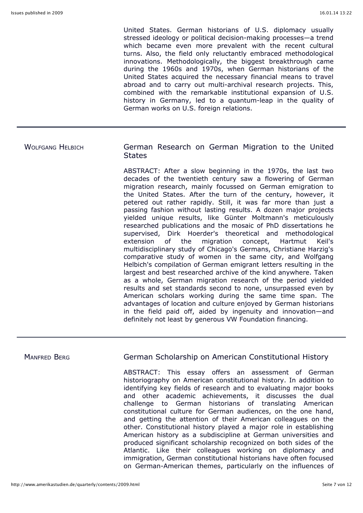United States. German historians of U.S. diplomacy usually stressed ideology or political decision-making processes—a trend which became even more prevalent with the recent cultural turns. Also, the field only reluctantly embraced methodological innovations. Methodologically, the biggest breakthrough came during the 1960s and 1970s, when German historians of the United States acquired the necessary financial means to travel abroad and to carry out multi-archival research projects. This, combined with the remarkable institutional expansion of U.S. history in Germany, led to a quantum-leap in the quality of German works on U.S. foreign relations.

### WOLFGANG HELBICH **German Research on German Migration to the United States**

ABSTRACT: After a slow beginning in the 1970s, the last two decades of the twentieth century saw a flowering of German migration research, mainly focussed on German emigration to the United States. After the turn of the century, however, it petered out rather rapidly. Still, it was far more than just a passing fashion without lasting results. A dozen major projects yielded unique results, like Günter Moltmann's meticulously researched publications and the mosaic of PhD dissertations he supervised, Dirk Hoerder's theoretical and methodological extension of the migration concept, Hartmut Keil's multidisciplinary study of Chicago's Germans, Christiane Harzig's comparative study of women in the same city, and Wolfgang Helbich's compilation of German emigrant letters resulting in the largest and best researched archive of the kind anywhere. Taken as a whole, German migration research of the period yielded results and set standards second to none, unsurpassed even by American scholars working during the same time span. The advantages of location and culture enjoyed by German historians in the field paid off, aided by ingenuity and innovation—and definitely not least by generous VW Foundation financing.

MANFRED BERG German Scholarship on American Constitutional History

ABSTRACT: This essay offers an assessment of German historiography on American constitutional history. In addition to identifying key fields of research and to evaluating major books and other academic achievements, it discusses the dual challenge to German historians of translating American constitutional culture for German audiences, on the one hand, and getting the attention of their American colleagues on the other. Constitutional history played a major role in establishing American history as a subdiscipline at German universities and produced significant scholarship recognized on both sides of the Atlantic. Like their colleagues working on diplomacy and immigration, German constitutional historians have often focused on German-American themes, particularly on the influences of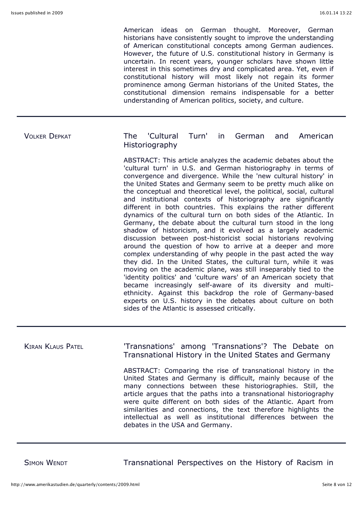American ideas on German thought. Moreover, German historians have consistently sought to improve the understanding of American constitutional concepts among German audiences. However, the future of U.S. constitutional history in Germany is uncertain. In recent years, younger scholars have shown little interest in this sometimes dry and complicated area. Yet, even if constitutional history will most likely not regain its former prominence among German historians of the United States, the constitutional dimension remains indispensable for a better understanding of American politics, society, and culture.

### VOLKER DEPKAT The 'Cultural Turn' in German and American Historiography

ABSTRACT: This article analyzes the academic debates about the 'cultural turn' in U.S. and German historiography in terms of convergence and divergence. While the 'new cultural history' in the United States and Germany seem to be pretty much alike on the conceptual and theoretical level, the political, social, cultural and institutional contexts of historiography are significantly different in both countries. This explains the rather different dynamics of the cultural turn on both sides of the Atlantic. In Germany, the debate about the cultural turn stood in the long shadow of historicism, and it evolved as a largely academic discussion between post-historicist social historians revolving around the question of how to arrive at a deeper and more complex understanding of why people in the past acted the way they did. In the United States, the cultural turn, while it was moving on the academic plane, was still inseparably tied to the 'identity politics' and 'culture wars' of an American society that became increasingly self-aware of its diversity and multiethnicity. Against this backdrop the role of Germany-based experts on U.S. history in the debates about culture on both sides of the Atlantic is assessed critically.

### KIRAN KLAUS PATEL 'Transnations' among 'Transnations'? The Debate on Transnational History in the United States and Germany ABSTRACT: Comparing the rise of transnational history in the United States and Germany is difficult, mainly because of the many connections between these historiographies. Still, the article argues that the paths into a transnational historiography were quite different on both sides of the Atlantic. Apart from similarities and connections, the text therefore highlights the intellectual as well as institutional differences between the debates in the USA and Germany.

SIMON WENDT **Transnational Perspectives on the History of Racism in**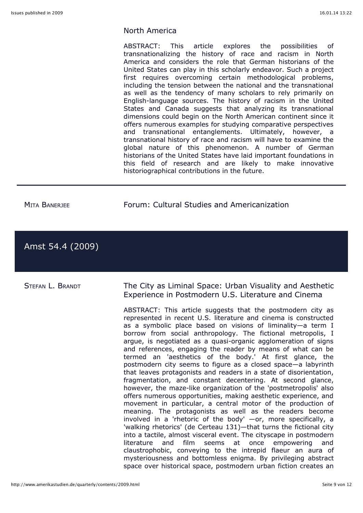### North America

ABSTRACT: This article explores the possibilities of transnationalizing the history of race and racism in North America and considers the role that German historians of the United States can play in this scholarly endeavor. Such a project first requires overcoming certain methodological problems, including the tension between the national and the transnational as well as the tendency of many scholars to rely primarily on English-language sources. The history of racism in the United States and Canada suggests that analyzing its transnational dimensions could begin on the North American continent since it offers numerous examples for studying comparative perspectives and transnational entanglements. Ultimately, however, a transnational history of race and racism will have to examine the global nature of this phenomenon. A number of German historians of the United States have laid important foundations in this field of research and are likely to make innovative historiographical contributions in the future.

MITA BANERJEE **Forum: Cultural Studies and Americanization** 

## Amst 54.4 (2009)

STEFAN L. BRANDT The City as Liminal Space: Urban Visuality and Aesthetic Experience in Postmodern U.S. Literature and Cinema

> ABSTRACT: This article suggests that the postmodern city as represented in recent U.S. literature and cinema is constructed as a symbolic place based on visions of liminality—a term I borrow from social anthropology. The fictional metropolis, I argue, is negotiated as a quasi-organic agglomeration of signs and references, engaging the reader by means of what can be termed an 'aesthetics of the body.' At first glance, the postmodern city seems to figure as a closed space—a labyrinth that leaves protagonists and readers in a state of disorientation, fragmentation, and constant decentering. At second glance, however, the maze-like organization of the 'postmetropolis' also offers numerous opportunities, making aesthetic experience, and movement in particular, a central motor of the production of meaning. The protagonists as well as the readers become involved in a 'rhetoric of the body' —or, more specifically, a 'walking rhetorics' (de Certeau 131)—that turns the fictional city into a tactile, almost visceral event. The cityscape in postmodern literature and film seems at once empowering and claustrophobic, conveying to the intrepid flaeur an aura of mysteriousness and bottomless enigma. By privileging abstract space over historical space, postmodern urban fiction creates an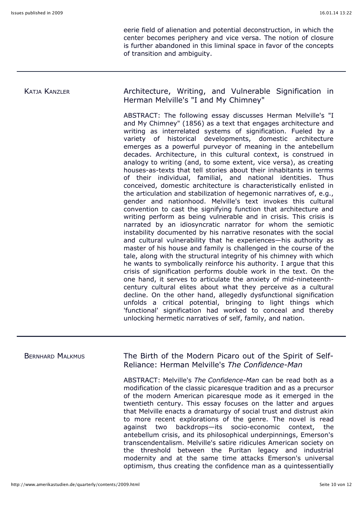eerie field of alienation and potential deconstruction, in which the center becomes periphery and vice versa. The notion of closure is further abandoned in this liminal space in favor of the concepts of transition and ambiguity.

KATJA KANZLER **Architecture, Writing, and Vulnerable Signification in** Herman Melville's "I and My Chimney"

> ABSTRACT: The following essay discusses Herman Melville's "I and My Chimney" (1856) as a text that engages architecture and writing as interrelated systems of signification. Fueled by a variety of historical developments, domestic architecture emerges as a powerful purveyor of meaning in the antebellum decades. Architecture, in this cultural context, is construed in analogy to writing (and, to some extent, vice versa), as creating houses-as-texts that tell stories about their inhabitants in terms of their individual, familial, and national identities. Thus conceived, domestic architecture is characteristically enlisted in the articulation and stabilization of hegemonic narratives of, e.g., gender and nationhood. Melville's text invokes this cultural convention to cast the signifying function that architecture and writing perform as being vulnerable and in crisis. This crisis is narrated by an idiosyncratic narrator for whom the semiotic instability documented by his narrative resonates with the social and cultural vulnerability that he experiences—his authority as master of his house and family is challenged in the course of the tale, along with the structural integrity of his chimney with which he wants to symbolically reinforce his authority. I argue that this crisis of signification performs double work in the text. On the one hand, it serves to articulate the anxiety of mid-nineteenthcentury cultural elites about what they perceive as a cultural decline. On the other hand, allegedly dysfunctional signification unfolds a critical potential, bringing to light things which 'functional' signification had worked to conceal and thereby unlocking hermetic narratives of self, family, and nation.

# BERNHARD MALKMUS The Birth of the Modern Picaro out of the Spirit of Self-Reliance: Herman Melville's *The Confidence-Man*

ABSTRACT: Melville's *The Confidence-Man* can be read both as a modification of the classic picaresque tradition and as a precursor of the modern American picaresque mode as it emerged in the twentieth century. This essay focuses on the latter and argues that Melville enacts a dramaturgy of social trust and distrust akin to more recent explorations of the genre. The novel is read against two backdrops—its socio-economic context, the antebellum crisis, and its philosophical underpinnings, Emerson's transcendentalism. Melville's satire ridicules American society on the threshold between the Puritan legacy and industrial modernity and at the same time attacks Emerson's universal optimism, thus creating the confidence man as a quintessentially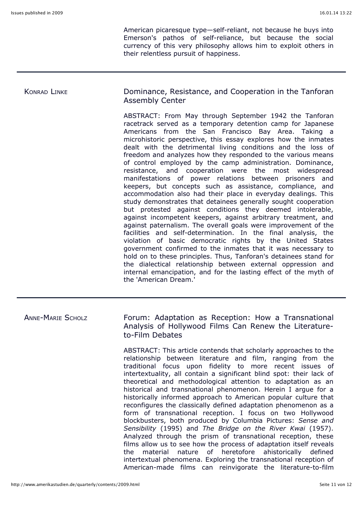American picaresque type—self-reliant, not because he buys into Emerson's pathos of self-reliance, but because the social currency of this very philosophy allows him to exploit others in their relentless pursuit of happiness.

KONRAD LINKE **Dominance, Resistance, and Cooperation in the Tanforan** Assembly Center

> ABSTRACT: From May through September 1942 the Tanforan racetrack served as a temporary detention camp for Japanese Americans from the San Francisco Bay Area. Taking a microhistoric perspective, this essay explores how the inmates dealt with the detrimental living conditions and the loss of freedom and analyzes how they responded to the various means of control employed by the camp administration. Dominance, resistance, and cooperation were the most widespread manifestations of power relations between prisoners and keepers, but concepts such as assistance, compliance, and accommodation also had their place in everyday dealings. This study demonstrates that detainees generally sought cooperation but protested against conditions they deemed intolerable, against incompetent keepers, against arbitrary treatment, and against paternalism. The overall goals were improvement of the facilities and self-determination. In the final analysis, the violation of basic democratic rights by the United States government confirmed to the inmates that it was necessary to hold on to these principles. Thus, Tanforan's detainees stand for the dialectical relationship between external oppression and internal emancipation, and for the lasting effect of the myth of the 'American Dream.'

### ANNE-MARIE SCHOLZ Forum: Adaptation as Reception: How a Transnational Analysis of Hollywood Films Can Renew the Literatureto-Film Debates

ABSTRACT: This article contends that scholarly approaches to the relationship between literature and film, ranging from the traditional focus upon fidelity to more recent issues of intertextuality, all contain a significant blind spot: their lack of theoretical and methodological attention to adaptation as an historical and transnational phenomenon. Herein I argue for a historically informed approach to American popular culture that reconfigures the classically defined adaptation phenomenon as a form of transnational reception. I focus on two Hollywood blockbusters, both produced by Columbia Pictures: *Sense and Sensibility* (1995) and *The Bridge on the River Kwai* (1957). Analyzed through the prism of transnational reception, these films allow us to see how the process of adaptation itself reveals the material nature of heretofore ahistorically defined intertextual phenomena. Exploring the transnational reception of American-made films can reinvigorate the literature-to-film